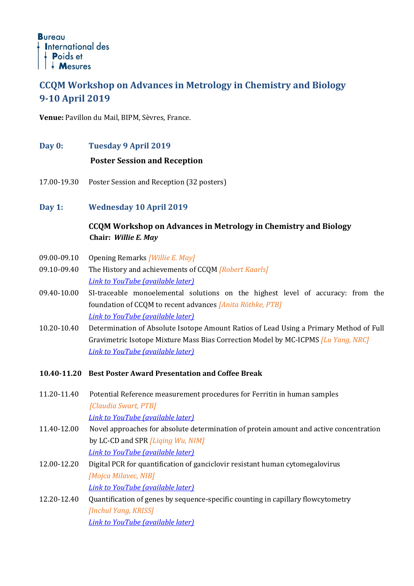# **CCQM Workshop on Advances in Metrology in Chemistry and Biology 9-10 April 2019**

**Venue:** Pavillon du Mail, BIPM, Sèvres, France.

**Day 0: Tuesday 9 April 2019**

## **Poster Session and Reception**

- 17.00-19.30 Poster Session and Reception (32 posters)
- **Day 1: Wednesday 10 April 2019**

## **CCQM Workshop on Advances in Metrology in Chemistry and Biology Chair:** *Willie E. May*

- 09.00-09.10 Opening Remarks *[Willie E. May]*
- 09.10-09.40 The History and achievements of CCQM *[Robert Kaarls] Link to YouTube (available later)*
- 09.40-10.00 SI-traceable monoelemental solutions on the highest level of accuracy: from the foundation of CCQM to recent advances *[Anita Röthke, PTB] Link to YouTube (available later)*
- 10.20-10.40 Determination of Absolute Isotope Amount Ratios of Lead Using a Primary Method of Full Gravimetric Isotope Mixture Mass Bias Correction Model by MC-ICPMS *[Lu Yang, NRC] Link to YouTube (available later)*
- **10.40-11.20 Best Poster Award Presentation and Coffee Break**
- 11.20-11.40 Potential Reference measurement procedures for Ferritin in human samples *[Claudia Swart, PTB] Link to YouTube (available later)*
- 11.40-12.00 Novel approaches for absolute determination of protein amount and active concentration by LC-CD and SPR *[Liqing Wu, NIM] Link to YouTube (available later)*
- 12.00-12.20 Digital PCR for quantification of ganciclovir resistant human cytomegalovirus *[Mojca Milavec, NIB] Link to YouTube (available later)*
- 12.20-12.40 Quantification of genes by sequence-specific counting in capillary flowcytometry *[Inchul Yang, KRISS] Link to YouTube (available later)*